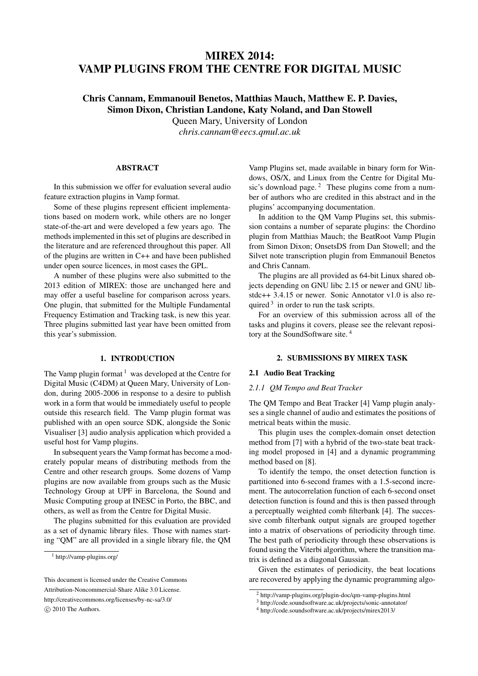# MIREX 2014: VAMP PLUGINS FROM THE CENTRE FOR DIGITAL MUSIC

# Chris Cannam, Emmanouil Benetos, Matthias Mauch, Matthew E. P. Davies, Simon Dixon, Christian Landone, Katy Noland, and Dan Stowell

Queen Mary, University of London

*chris.cannam@eecs.qmul.ac.uk*

# ABSTRACT

In this submission we offer for evaluation several audio feature extraction plugins in Vamp format.

Some of these plugins represent efficient implementations based on modern work, while others are no longer state-of-the-art and were developed a few years ago. The methods implemented in this set of plugins are described in the literature and are referenced throughout this paper. All of the plugins are written in C++ and have been published under open source licences, in most cases the GPL.

A number of these plugins were also submitted to the 2013 edition of MIREX: those are unchanged here and may offer a useful baseline for comparison across years. One plugin, that submitted for the Multiple Fundamental Frequency Estimation and Tracking task, is new this year. Three plugins submitted last year have been omitted from this year's submission.

# 1. INTRODUCTION

The Vamp plugin format  $1$  was developed at the Centre for Digital Music (C4DM) at Queen Mary, University of London, during 2005-2006 in response to a desire to publish work in a form that would be immediately useful to people outside this research field. The Vamp plugin format was published with an open source SDK, alongside the Sonic Visualiser [3] audio analysis application which provided a useful host for Vamp plugins.

In subsequent years the Vamp format has become a moderately popular means of distributing methods from the Centre and other research groups. Some dozens of Vamp plugins are now available from groups such as the Music Technology Group at UPF in Barcelona, the Sound and Music Computing group at INESC in Porto, the BBC, and others, as well as from the Centre for Digital Music.

The plugins submitted for this evaluation are provided as a set of dynamic library files. Those with names starting "QM" are all provided in a single library file, the QM

*⃝*c 2010 The Authors.

Vamp Plugins set, made available in binary form for Windows, OS/X, and Linux from the Centre for Digital Music's download page. $2$  These plugins come from a number of authors who are credited in this abstract and in the plugins' accompanying documentation.

In addition to the QM Vamp Plugins set, this submission contains a number of separate plugins: the Chordino plugin from Matthias Mauch; the BeatRoot Vamp Plugin from Simon Dixon; OnsetsDS from Dan Stowell; and the Silvet note transcription plugin from Emmanouil Benetos and Chris Cannam.

The plugins are all provided as 64-bit Linux shared objects depending on GNU libc 2.15 or newer and GNU libstdc++ 3.4.15 or newer. Sonic Annotator v1.0 is also required  $3$  in order to run the task scripts.

For an overview of this submission across all of the tasks and plugins it covers, please see the relevant repository at the SoundSoftware site. <sup>4</sup>

## 2. SUBMISSIONS BY MIREX TASK

## 2.1 Audio Beat Tracking

#### *2.1.1 QM Tempo and Beat Tracker*

The QM Tempo and Beat Tracker [4] Vamp plugin analyses a single channel of audio and estimates the positions of metrical beats within the music.

This plugin uses the complex-domain onset detection method from [7] with a hybrid of the two-state beat tracking model proposed in [4] and a dynamic programming method based on [8].

To identify the tempo, the onset detection function is partitioned into 6-second frames with a 1.5-second increment. The autocorrelation function of each 6-second onset detection function is found and this is then passed through a perceptually weighted comb filterbank [4]. The successive comb filterbank output signals are grouped together into a matrix of observations of periodicity through time. The best path of periodicity through these observations is found using the Viterbi algorithm, where the transition matrix is defined as a diagonal Gaussian.

Given the estimates of periodicity, the beat locations are recovered by applying the dynamic programming algo-

<sup>1</sup> http://vamp-plugins.org/

This document is licensed under the Creative Commons Attribution-Noncommercial-Share Alike 3.0 License. http://creativecommons.org/licenses/by-nc-sa/3.0/

<sup>2</sup> http://vamp-plugins.org/plugin-doc/qm-vamp-plugins.html

<sup>3</sup> http://code.soundsoftware.ac.uk/projects/sonic-annotator/

<sup>4</sup> http://code.soundsoftware.ac.uk/projects/mirex2013/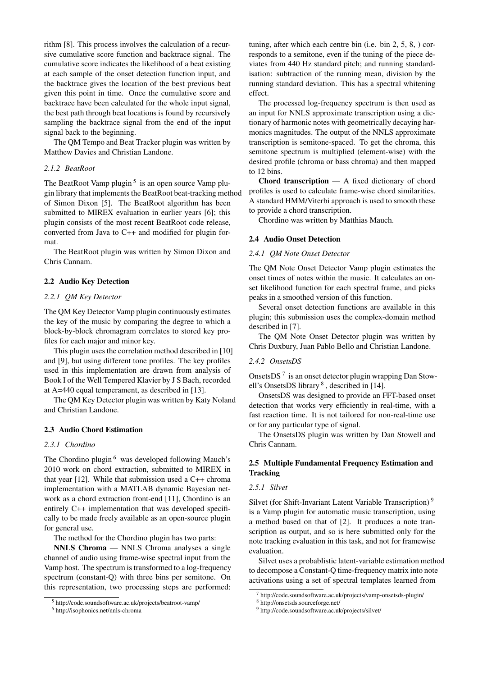rithm [8]. This process involves the calculation of a recursive cumulative score function and backtrace signal. The cumulative score indicates the likelihood of a beat existing at each sample of the onset detection function input, and the backtrace gives the location of the best previous beat given this point in time. Once the cumulative score and backtrace have been calculated for the whole input signal, the best path through beat locations is found by recursively sampling the backtrace signal from the end of the input signal back to the beginning.

The QM Tempo and Beat Tracker plugin was written by Matthew Davies and Christian Landone.

#### *2.1.2 BeatRoot*

The BeatRoot Vamp plugin<sup>5</sup> is an open source Vamp plugin library that implements the BeatRoot beat-tracking method of Simon Dixon [5]. The BeatRoot algorithm has been submitted to MIREX evaluation in earlier years [6]; this plugin consists of the most recent BeatRoot code release, converted from Java to C++ and modified for plugin format.

The BeatRoot plugin was written by Simon Dixon and Chris Cannam.

## 2.2 Audio Key Detection

#### *2.2.1 QM Key Detector*

The QM Key Detector Vamp plugin continuously estimates the key of the music by comparing the degree to which a block-by-block chromagram correlates to stored key profiles for each major and minor key.

This plugin uses the correlation method described in [10] and [9], but using different tone profiles. The key profiles used in this implementation are drawn from analysis of Book I of the Well Tempered Klavier by J S Bach, recorded at A=440 equal temperament, as described in [13].

The QM Key Detector plugin was written by Katy Noland and Christian Landone.

#### 2.3 Audio Chord Estimation

## *2.3.1 Chordino*

The Chordino plugin<sup>6</sup> was developed following Mauch's 2010 work on chord extraction, submitted to MIREX in that year [12]. While that submission used a C++ chroma implementation with a MATLAB dynamic Bayesian network as a chord extraction front-end [11], Chordino is an entirely C++ implementation that was developed specifically to be made freely available as an open-source plugin for general use.

The method for the Chordino plugin has two parts:

NNLS Chroma — NNLS Chroma analyses a single channel of audio using frame-wise spectral input from the Vamp host. The spectrum is transformed to a log-frequency spectrum (constant-Q) with three bins per semitone. On this representation, two processing steps are performed: tuning, after which each centre bin (i.e. bin 2, 5, 8, ) corresponds to a semitone, even if the tuning of the piece deviates from 440 Hz standard pitch; and running standardisation: subtraction of the running mean, division by the running standard deviation. This has a spectral whitening effect.

The processed log-frequency spectrum is then used as an input for NNLS approximate transcription using a dictionary of harmonic notes with geometrically decaying harmonics magnitudes. The output of the NNLS approximate transcription is semitone-spaced. To get the chroma, this semitone spectrum is multiplied (element-wise) with the desired profile (chroma or bass chroma) and then mapped to 12 bins.

Chord transcription — A fixed dictionary of chord profiles is used to calculate frame-wise chord similarities. A standard HMM/Viterbi approach is used to smooth these to provide a chord transcription.

Chordino was written by Matthias Mauch.

#### 2.4 Audio Onset Detection

# *2.4.1 QM Note Onset Detector*

The QM Note Onset Detector Vamp plugin estimates the onset times of notes within the music. It calculates an onset likelihood function for each spectral frame, and picks peaks in a smoothed version of this function.

Several onset detection functions are available in this plugin; this submission uses the complex-domain method described in [7].

The QM Note Onset Detector plugin was written by Chris Duxbury, Juan Pablo Bello and Christian Landone.

#### *2.4.2 OnsetsDS*

OnsetsDS<sup>7</sup> is an onset detector plugin wrapping Dan Stowell's OnsetsDS library<sup>8</sup>, described in [14].

OnsetsDS was designed to provide an FFT-based onset detection that works very efficiently in real-time, with a fast reaction time. It is not tailored for non-real-time use or for any particular type of signal.

The OnsetsDS plugin was written by Dan Stowell and Chris Cannam.

# 2.5 Multiple Fundamental Frequency Estimation and **Tracking**

#### *2.5.1 Silvet*

Silvet (for Shift-Invariant Latent Variable Transcription)<sup>9</sup> is a Vamp plugin for automatic music transcription, using a method based on that of [2]. It produces a note transcription as output, and so is here submitted only for the note tracking evaluation in this task, and not for framewise evaluation.

Silvet uses a probablistic latent-variable estimation method to decompose a Constant-Q time-frequency matrix into note activations using a set of spectral templates learned from

<sup>5</sup> http://code.soundsoftware.ac.uk/projects/beatroot-vamp/

<sup>6</sup> http://isophonics.net/nnls-chroma

<sup>7</sup> http://code.soundsoftware.ac.uk/projects/vamp-onsetsds-plugin/

<sup>8</sup> http://onsetsds.sourceforge.net/

<sup>9</sup> http://code.soundsoftware.ac.uk/projects/silvet/